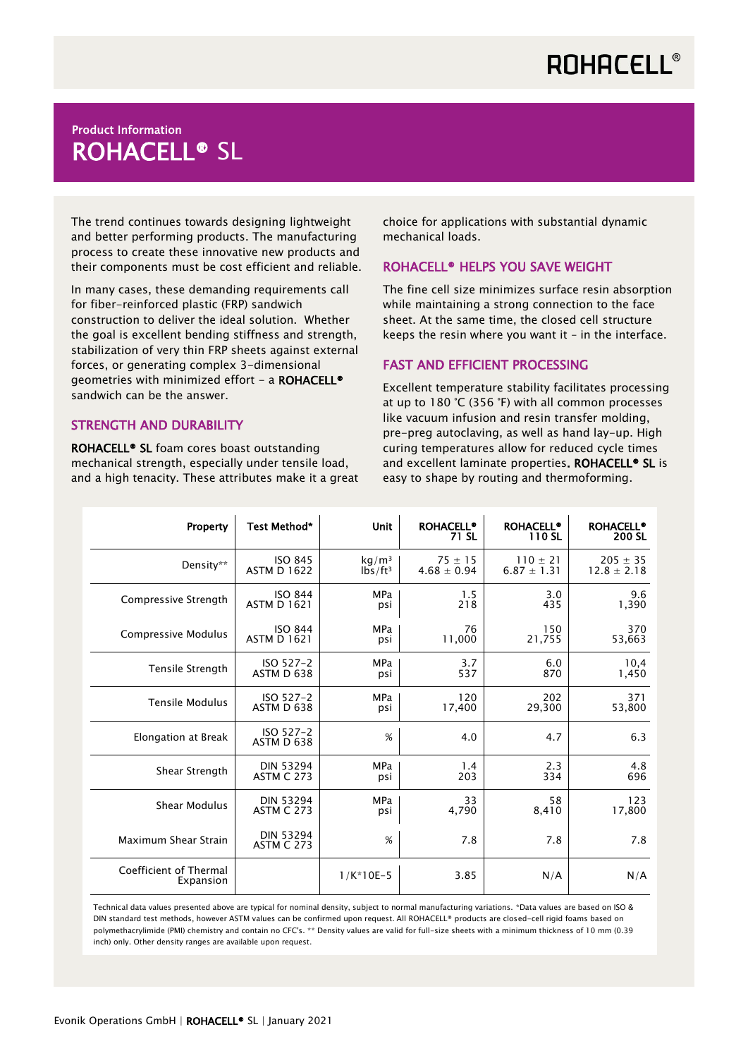## Product Information ROHACELL® SL

The trend continues towards designing lightweight and better performing products. The manufacturing process to create these innovative new products and their components must be cost efficient and reliable.

In many cases, these demanding requirements call for fiber-reinforced plastic (FRP) sandwich construction to deliver the ideal solution. Whether the goal is excellent bending stiffness and strength, stabilization of very thin FRP sheets against external forces, or generating complex 3-dimensional geometries with minimized effort - a ROHACELL® sandwich can be the answer.

### STRENGTH AND DURABILITY

ROHACELL® SL foam cores boast outstanding mechanical strength, especially under tensile load, and a high tenacity. These attributes make it a great choice for applications with substantial dynamic mechanical loads.

### ROHACELL® HELPS YOU SAVE WEIGHT

The fine cell size minimizes surface resin absorption while maintaining a strong connection to the face sheet. At the same time, the closed cell structure keeps the resin where you want it – in the interface.

### FAST AND EFFICIENT PROCESSING

Excellent temperature stability facilitates processing at up to 180 °C (356 °F) with all common processes like vacuum infusion and resin transfer molding, pre-preg autoclaving, as well as hand lay-up. High curing temperatures allow for reduced cycle times and excellent laminate properties. ROHACELL<sup>®</sup> SL is easy to shape by routing and thermoforming.

| Property                            | Test Method*                          | <b>Unit</b>                       | <b>ROHACELL®</b><br>71 SL | <b>ROHACELL®</b><br>110 SL | <b>ROHACELL®</b><br>200 SL |
|-------------------------------------|---------------------------------------|-----------------------------------|---------------------------|----------------------------|----------------------------|
| Density**                           | <b>ISO 845</b>                        | kg/m <sup>3</sup>                 | $75 \pm 15$               | $110 \pm 21$               | $205 \pm 35$               |
|                                     | <b>ASTM D 1622</b>                    | $I\overline{b}$ s/ft <sup>3</sup> | $4.68 \pm 0.94$           | $6.87 \pm 1.31$            | $12.8 \pm 2.18$            |
| Compressive Strength                | <b>ISO 844</b>                        | <b>MPa</b>                        | 1.5                       | 3.0                        | 9.6                        |
|                                     | <b>ASTM D 1621</b>                    | psi                               | 218                       | 435                        | 1,390                      |
| Compressive Modulus                 | <b>ISO 844</b>                        | <b>MPa</b>                        | 76                        | 150                        | 370                        |
|                                     | <b>ASTM D 1621</b>                    | psi                               | 11,000                    | 21,755                     | 53,663                     |
| Tensile Strength                    | $ISO 527-2$                           | <b>MPa</b>                        | 3.7                       | 6.0                        | 10,4                       |
|                                     | ASTM D 638                            | psi                               | 537                       | 870                        | 1,450                      |
| <b>Tensile Modulus</b>              | $ISO 527-2$                           | <b>MPa</b>                        | 120                       | 202                        | 371                        |
|                                     | ASTM D 638                            | psi                               | 17,400                    | 29,300                     | 53,800                     |
| Elongation at Break                 | ISO 527-2<br>ASTM D 638               | %                                 | 4.0                       | 4.7                        | 6.3                        |
| Shear Strength                      | <b>DIN 53294</b>                      | <b>MPa</b>                        | 1.4                       | 2.3                        | 4.8                        |
|                                     | <b>ASTM C 273</b>                     | psi                               | 203                       | 334                        | 696                        |
| <b>Shear Modulus</b>                | <b>DIN 53294</b>                      | <b>MPa</b>                        | 33                        | 58                         | 123                        |
|                                     | <b>ASTM C 273</b>                     | psi                               | 4,790                     | 8,410                      | 17,800                     |
| Maximum Shear Strain                | <b>DIN 53294</b><br><b>ASTM C 273</b> | %                                 | 7.8                       | 7.8                        | 7.8                        |
| Coefficient of Thermal<br>Expansion |                                       | $1/K*10E-5$                       | 3.85                      | N/A                        | N/A                        |

Technical data values presented above are typical for nominal density, subject to normal manufacturing variations. \*Data values are based on ISO & DIN standard test methods, however ASTM values can be confirmed upon request. All ROHACELL® products are closed-cell rigid foams based on polymethacrylimide (PMI) chemistry and contain no CFC's. \*\* Density values are valid for full-size sheets with a minimum thickness of 10 mm (0.39 inch) only. Other density ranges are available upon request.